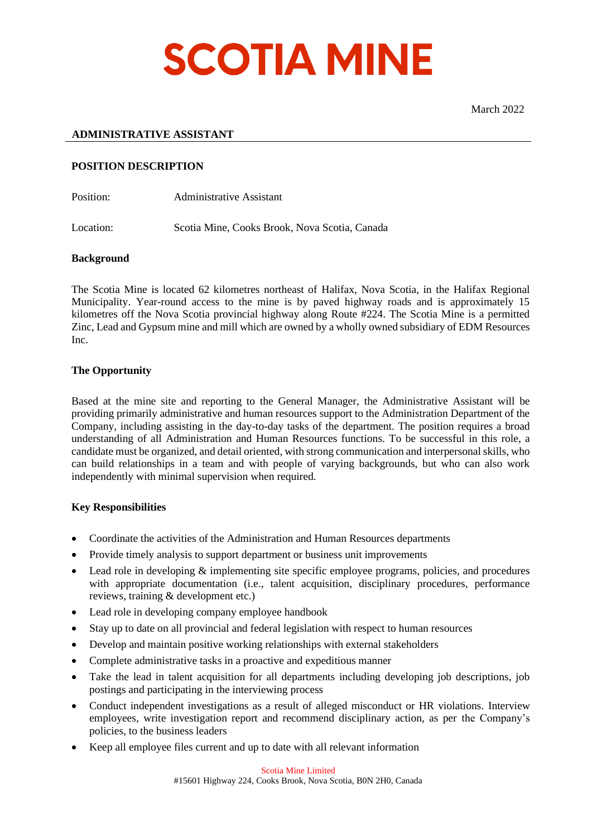

## **ADMINISTRATIVE ASSISTANT**

### **POSITION DESCRIPTION**

Position: Administrative Assistant

Location: Scotia Mine, Cooks Brook, Nova Scotia, Canada

#### **Background**

The Scotia Mine is located 62 kilometres northeast of Halifax, Nova Scotia, in the Halifax Regional Municipality. Year-round access to the mine is by paved highway roads and is approximately 15 kilometres off the Nova Scotia provincial highway along Route #224. The Scotia Mine is a permitted Zinc, Lead and Gypsum mine and mill which are owned by a wholly owned subsidiary of EDM Resources Inc.

### **The Opportunity**

Based at the mine site and reporting to the General Manager, the Administrative Assistant will be providing primarily administrative and human resources support to the Administration Department of the Company, including assisting in the day-to-day tasks of the department. The position requires a broad understanding of all Administration and Human Resources functions. To be successful in this role, a candidate must be organized, and detail oriented, with strong communication and interpersonal skills, who can build relationships in a team and with people of varying backgrounds, but who can also work independently with minimal supervision when required.

#### **Key Responsibilities**

- Coordinate the activities of the Administration and Human Resources departments
- Provide timely analysis to support department or business unit improvements
- Lead role in developing  $\&$  implementing site specific employee programs, policies, and procedures with appropriate documentation (i.e., talent acquisition, disciplinary procedures, performance reviews, training & development etc.)
- Lead role in developing company employee handbook
- Stay up to date on all provincial and federal legislation with respect to human resources
- Develop and maintain positive working relationships with external stakeholders
- Complete administrative tasks in a proactive and expeditious manner
- Take the lead in talent acquisition for all departments including developing job descriptions, job postings and participating in the interviewing process
- Conduct independent investigations as a result of alleged misconduct or HR violations. Interview employees, write investigation report and recommend disciplinary action, as per the Company's policies, to the business leaders
- Keep all employee files current and up to date with all relevant information